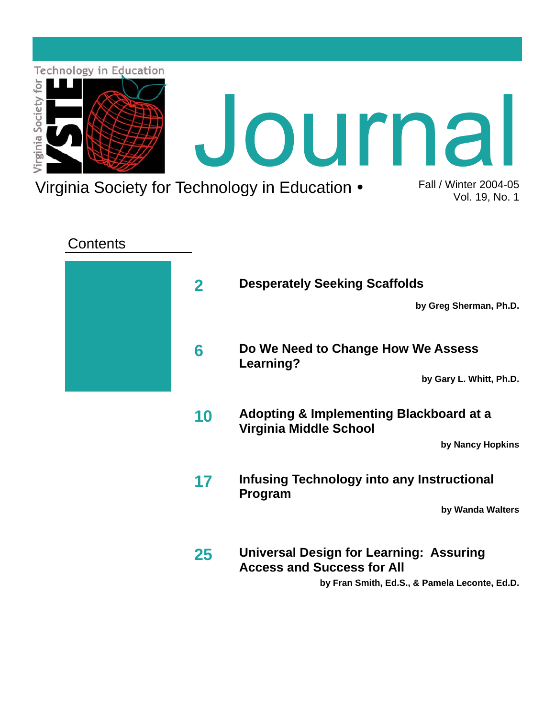

### **Contents**

| <b>Desperately Seeking Scaffolds</b>                                                | $\mathbf{2}$ |  |
|-------------------------------------------------------------------------------------|--------------|--|
| by Greg Sherman, Ph.D.                                                              |              |  |
| Do We Need to Change How We Assess<br>Learning?                                     | 6            |  |
| by Gary L. Whitt, Ph.D.                                                             |              |  |
| Adopting & Implementing Blackboard at a<br>Virginia Middle School                   | 10           |  |
| by Nancy Hopkins                                                                    |              |  |
| Infusing Technology into any Instructional<br><b>Program</b>                        | 17           |  |
| by Wanda Walters                                                                    |              |  |
| <b>Universal Design for Learning: Assuring</b><br><b>Access and Success for All</b> | 25           |  |
| by Fran Smith, Ed.S., & Pamela Leconte, Ed.D.                                       |              |  |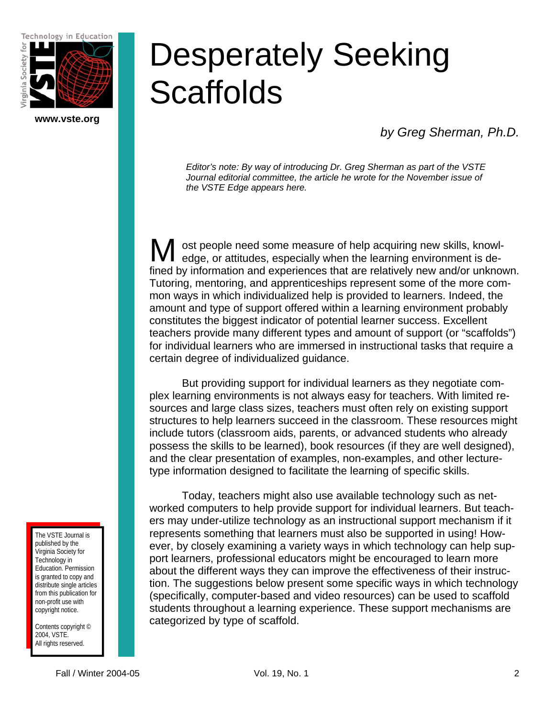Technology in Education



**www.vste.org** 

# Desperately Seeking **Scaffolds**

*by Greg Sherman, Ph.D.* 

*Editor's note: By way of introducing Dr. Greg Sherman as part of the VSTE Journal editorial committee, the article he wrote for the November issue of the VSTE Edge appears here.* 

ost people need some measure of help acquiring new skills, knowledge, or attitudes, especially when the learning environment is defined by information and experiences that are relatively new and/or unknown. Tutoring, mentoring, and apprenticeships represent some of the more common ways in which individualized help is provided to learners. Indeed, the amount and type of support offered within a learning environment probably constitutes the biggest indicator of potential learner success. Excellent teachers provide many different types and amount of support (or "scaffolds") for individual learners who are immersed in instructional tasks that require a certain degree of individualized guidance. M

 But providing support for individual learners as they negotiate complex learning environments is not always easy for teachers. With limited resources and large class sizes, teachers must often rely on existing support structures to help learners succeed in the classroom. These resources might include tutors (classroom aids, parents, or advanced students who already possess the skills to be learned), book resources (if they are well designed), and the clear presentation of examples, non-examples, and other lecturetype information designed to facilitate the learning of specific skills.

 Today, teachers might also use available technology such as networked computers to help provide support for individual learners. But teachers may under-utilize technology as an instructional support mechanism if it represents something that learners must also be supported in using! However, by closely examining a variety ways in which technology can help support learners, professional educators might be encouraged to learn more about the different ways they can improve the effectiveness of their instruction. The suggestions below present some specific ways in which technology (specifically, computer-based and video resources) can be used to scaffold students throughout a learning experience. These support mechanisms are categorized by type of scaffold.

The VSTE Journal is published by the Virginia Society for Technology in Education. Permission is granted to copy and distribute single articles from this publication for non-profit use with copyright notice.

Contents copyright © 2004, VSTE. All rights reserved.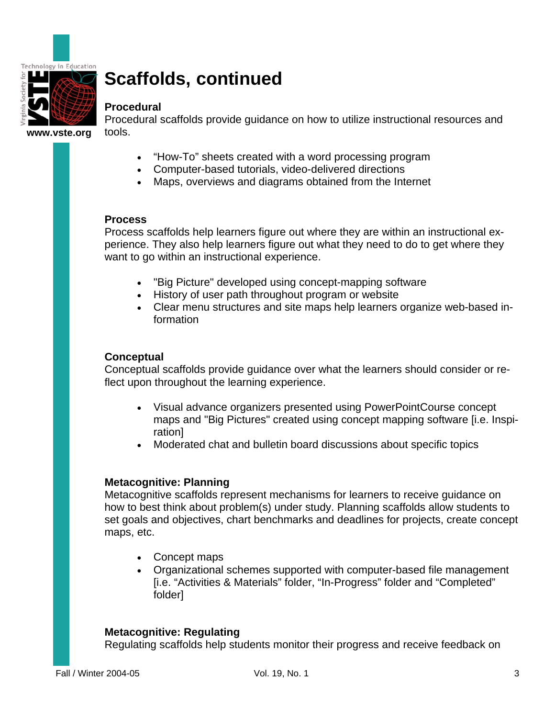

# **Scaffolds, continued**

#### **Procedural**

Procedural scaffolds provide guidance on how to utilize instructional resources and tools.

- "How-To" sheets created with a word processing program
- Computer-based tutorials, video-delivered directions
- Maps, overviews and diagrams obtained from the Internet

#### **Process**

Process scaffolds help learners figure out where they are within an instructional experience. They also help learners figure out what they need to do to get where they want to go within an instructional experience.

- "Big Picture" developed using concept-mapping software
- History of user path throughout program or website
- Clear menu structures and site maps help learners organize web-based information

#### **Conceptual**

Conceptual scaffolds provide guidance over what the learners should consider or reflect upon throughout the learning experience.

- Visual advance organizers presented using PowerPointCourse concept maps and "Big Pictures" created using concept mapping software [i.e. Inspiration]
- Moderated chat and bulletin board discussions about specific topics

#### **Metacognitive: Planning**

Metacognitive scaffolds represent mechanisms for learners to receive guidance on how to best think about problem(s) under study. Planning scaffolds allow students to set goals and objectives, chart benchmarks and deadlines for projects, create concept maps, etc.

- Concept maps
- Organizational schemes supported with computer-based file management [i.e. "Activities & Materials" folder, "In-Progress" folder and "Completed" folder]

#### **Metacognitive: Regulating**

Regulating scaffolds help students monitor their progress and receive feedback on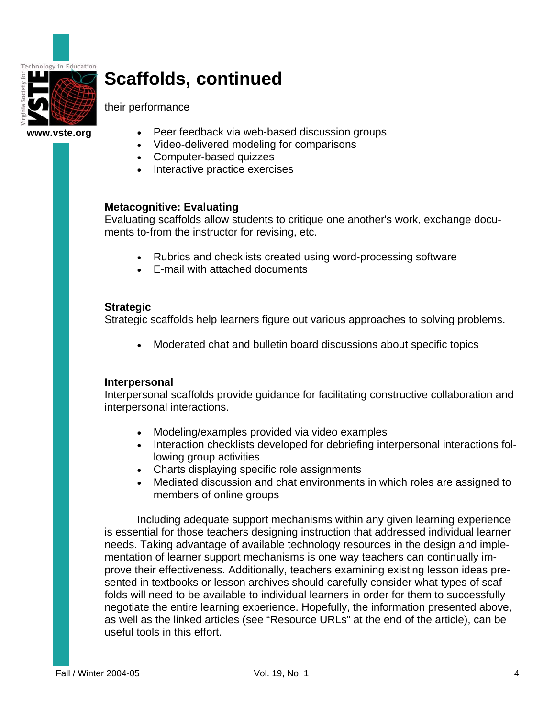

# **Scaffolds, continued**

their performance

**www.vste.org** 

- Peer feedback via web-based discussion groups
- Video-delivered modeling for comparisons
- Computer-based quizzes
- Interactive practice exercises

#### **Metacognitive: Evaluating**

Evaluating scaffolds allow students to critique one another's work, exchange documents to-from the instructor for revising, etc.

- Rubrics and checklists created using word-processing software
- E-mail with attached documents

#### **Strategic**

Strategic scaffolds help learners figure out various approaches to solving problems.

• Moderated chat and bulletin board discussions about specific topics

#### **Interpersonal**

Interpersonal scaffolds provide guidance for facilitating constructive collaboration and interpersonal interactions.

- Modeling/examples provided via video examples
- Interaction checklists developed for debriefing interpersonal interactions following group activities
- Charts displaying specific role assignments
- Mediated discussion and chat environments in which roles are assigned to members of online groups

 Including adequate support mechanisms within any given learning experience is essential for those teachers designing instruction that addressed individual learner needs. Taking advantage of available technology resources in the design and implementation of learner support mechanisms is one way teachers can continually improve their effectiveness. Additionally, teachers examining existing lesson ideas presented in textbooks or lesson archives should carefully consider what types of scaffolds will need to be available to individual learners in order for them to successfully negotiate the entire learning experience. Hopefully, the information presented above, as well as the linked articles (see "Resource URLs" at the end of the article), can be useful tools in this effort.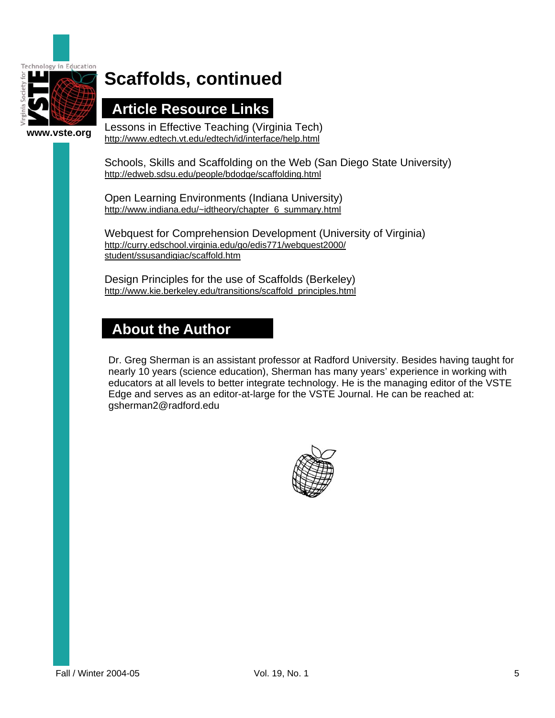

# **Scaffolds, continued**

### **Article Resource Links**

Lessons in Effective Teaching (Virginia Tech) http://www.edtech.vt.edu/edtech/id/interface/help.html

Schools, Skills and Scaffolding on the Web (San Diego State University) http://edweb.sdsu.edu/people/bdodge/scaffolding.html

Open Learning Environments (Indiana University) http://www.indiana.edu/~idtheory/chapter\_6\_summary.html

Webquest for Comprehension Development (University of Virginia) http://curry.edschool.virginia.edu/go/edis771/webquest2000/ student/ssusandigiac/scaffold.htm

Design Principles for the use of Scaffolds (Berkeley) http://www.kie.berkeley.edu/transitions/scaffold\_principles.html

### **About the Author**

Dr. Greg Sherman is an assistant professor at Radford University. Besides having taught for nearly 10 years (science education), Sherman has many years' experience in working with educators at all levels to better integrate technology. He is the managing editor of the VSTE Edge and serves as an editor-at-large for the VSTE Journal. He can be reached at: gsherman2@radford.edu

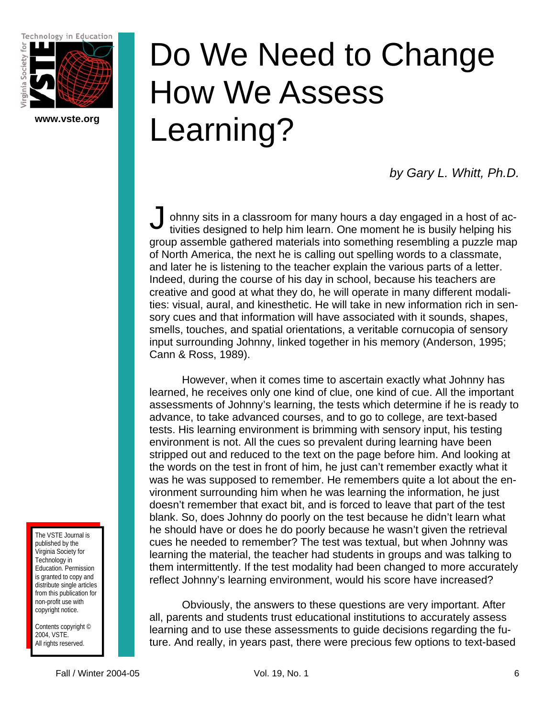Technology in Education



**www.vste.org** 

# Do We Need to Change How We Assess Learning?

*by Gary L. Whitt, Ph.D.* 

ohnny sits in a classroom for many hours a day engaged in a host of activities designed to help him learn. One moment he is busily helping his group assemble gathered materials into something resembling a puzzle map of North America, the next he is calling out spelling words to a classmate, and later he is listening to the teacher explain the various parts of a letter. Indeed, during the course of his day in school, because his teachers are creative and good at what they do, he will operate in many different modalities: visual, aural, and kinesthetic. He will take in new information rich in sensory cues and that information will have associated with it sounds, shapes, smells, touches, and spatial orientations, a veritable cornucopia of sensory input surrounding Johnny, linked together in his memory (Anderson, 1995; Cann & Ross, 1989).  $\int_{\frac{c}{t}}$ 

 However, when it comes time to ascertain exactly what Johnny has learned, he receives only one kind of clue, one kind of cue. All the important assessments of Johnny's learning, the tests which determine if he is ready to advance, to take advanced courses, and to go to college, are text-based tests. His learning environment is brimming with sensory input, his testing environment is not. All the cues so prevalent during learning have been stripped out and reduced to the text on the page before him. And looking at the words on the test in front of him, he just can't remember exactly what it was he was supposed to remember. He remembers quite a lot about the environment surrounding him when he was learning the information, he just doesn't remember that exact bit, and is forced to leave that part of the test blank. So, does Johnny do poorly on the test because he didn't learn what he should have or does he do poorly because he wasn't given the retrieval cues he needed to remember? The test was textual, but when Johnny was learning the material, the teacher had students in groups and was talking to them intermittently. If the test modality had been changed to more accurately reflect Johnny's learning environment, would his score have increased?

 Obviously, the answers to these questions are very important. After all, parents and students trust educational institutions to accurately assess learning and to use these assessments to guide decisions regarding the future. And really, in years past, there were precious few options to text-based

The VSTE Journal is published by the Virginia Society for Technology in Education. Permission is granted to copy and distribute single articles from this publication for non-profit use with copyright notice.

Contents copyright © 2004, VSTE. All rights reserved.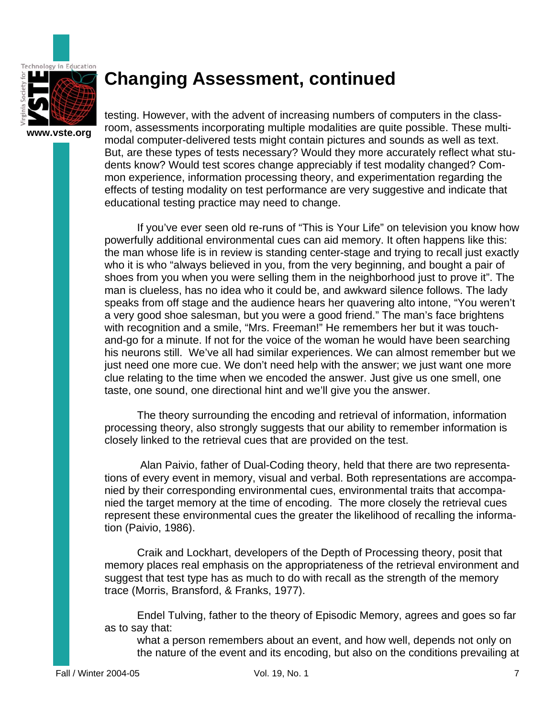

### **Changing Assessment, continued**

testing. However, with the advent of increasing numbers of computers in the classroom, assessments incorporating multiple modalities are quite possible. These multimodal computer-delivered tests might contain pictures and sounds as well as text. But, are these types of tests necessary? Would they more accurately reflect what students know? Would test scores change appreciably if test modality changed? Common experience, information processing theory, and experimentation regarding the effects of testing modality on test performance are very suggestive and indicate that educational testing practice may need to change.

 If you've ever seen old re-runs of "This is Your Life" on television you know how powerfully additional environmental cues can aid memory. It often happens like this: the man whose life is in review is standing center-stage and trying to recall just exactly who it is who "always believed in you, from the very beginning, and bought a pair of shoes from you when you were selling them in the neighborhood just to prove it". The man is clueless, has no idea who it could be, and awkward silence follows. The lady speaks from off stage and the audience hears her quavering alto intone, "You weren't a very good shoe salesman, but you were a good friend." The man's face brightens with recognition and a smile, "Mrs. Freeman!" He remembers her but it was touchand-go for a minute. If not for the voice of the woman he would have been searching his neurons still. We've all had similar experiences. We can almost remember but we just need one more cue. We don't need help with the answer; we just want one more clue relating to the time when we encoded the answer. Just give us one smell, one taste, one sound, one directional hint and we'll give you the answer.

The theory surrounding the encoding and retrieval of information, information processing theory, also strongly suggests that our ability to remember information is closely linked to the retrieval cues that are provided on the test.

 Alan Paivio, father of Dual-Coding theory, held that there are two representations of every event in memory, visual and verbal. Both representations are accompanied by their corresponding environmental cues, environmental traits that accompanied the target memory at the time of encoding. The more closely the retrieval cues represent these environmental cues the greater the likelihood of recalling the information (Paivio, 1986).

Craik and Lockhart, developers of the Depth of Processing theory, posit that memory places real emphasis on the appropriateness of the retrieval environment and suggest that test type has as much to do with recall as the strength of the memory trace (Morris, Bransford, & Franks, 1977).

Endel Tulving, father to the theory of Episodic Memory, agrees and goes so far as to say that:

what a person remembers about an event, and how well, depends not only on the nature of the event and its encoding, but also on the conditions prevailing at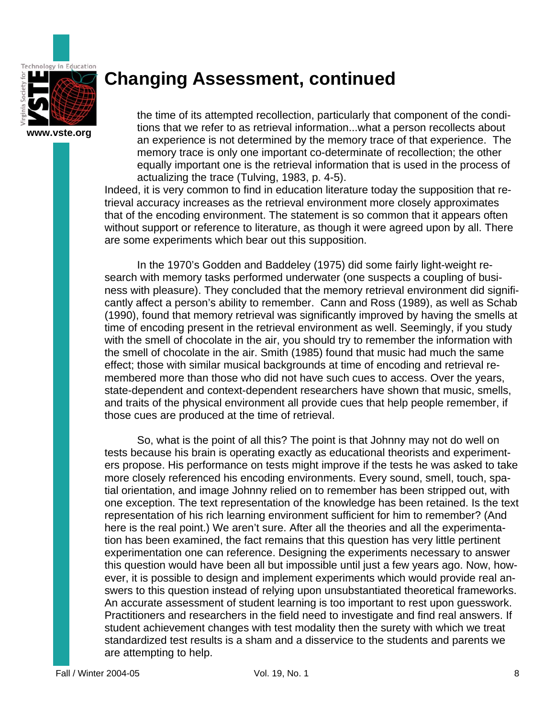

### **Changing Assessment, continued**

the time of its attempted recollection, particularly that component of the conditions that we refer to as retrieval information...what a person recollects about an experience is not determined by the memory trace of that experience. The memory trace is only one important co-determinate of recollection; the other equally important one is the retrieval information that is used in the process of actualizing the trace (Tulving, 1983, p. 4-5).

Indeed, it is very common to find in education literature today the supposition that retrieval accuracy increases as the retrieval environment more closely approximates that of the encoding environment. The statement is so common that it appears often without support or reference to literature, as though it were agreed upon by all. There are some experiments which bear out this supposition.

 In the 1970's Godden and Baddeley (1975) did some fairly light-weight research with memory tasks performed underwater (one suspects a coupling of business with pleasure). They concluded that the memory retrieval environment did significantly affect a person's ability to remember. Cann and Ross (1989), as well as Schab (1990), found that memory retrieval was significantly improved by having the smells at time of encoding present in the retrieval environment as well. Seemingly, if you study with the smell of chocolate in the air, you should try to remember the information with the smell of chocolate in the air. Smith (1985) found that music had much the same effect; those with similar musical backgrounds at time of encoding and retrieval remembered more than those who did not have such cues to access. Over the years, state-dependent and context-dependent researchers have shown that music, smells, and traits of the physical environment all provide cues that help people remember, if those cues are produced at the time of retrieval.

 So, what is the point of all this? The point is that Johnny may not do well on tests because his brain is operating exactly as educational theorists and experimenters propose. His performance on tests might improve if the tests he was asked to take more closely referenced his encoding environments. Every sound, smell, touch, spatial orientation, and image Johnny relied on to remember has been stripped out, with one exception. The text representation of the knowledge has been retained. Is the text representation of his rich learning environment sufficient for him to remember? (And here is the real point.) We aren't sure. After all the theories and all the experimentation has been examined, the fact remains that this question has very little pertinent experimentation one can reference. Designing the experiments necessary to answer this question would have been all but impossible until just a few years ago. Now, however, it is possible to design and implement experiments which would provide real answers to this question instead of relying upon unsubstantiated theoretical frameworks. An accurate assessment of student learning is too important to rest upon guesswork. Practitioners and researchers in the field need to investigate and find real answers. If student achievement changes with test modality then the surety with which we treat standardized test results is a sham and a disservice to the students and parents we are attempting to help.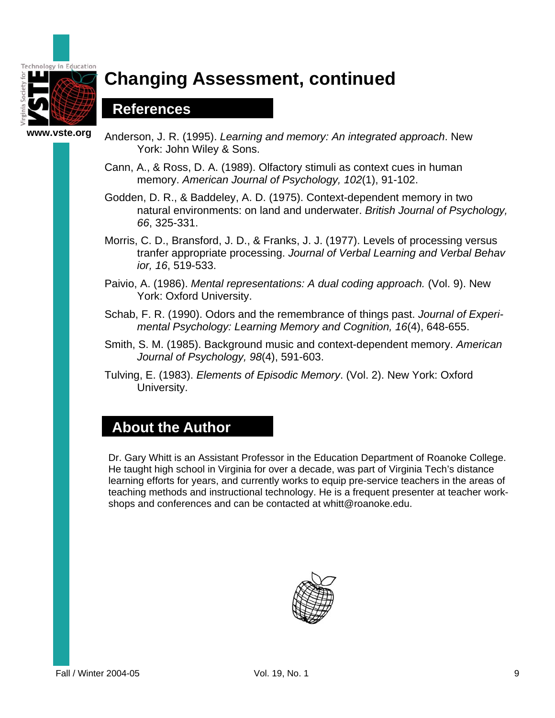

# **Changing Assessment, continued**

### **References**

**www.vste.org** 

- Anderson, J. R. (1995). *Learning and memory: An integrated approach*. New York: John Wiley & Sons.
	- Cann, A., & Ross, D. A. (1989). Olfactory stimuli as context cues in human memory. *American Journal of Psychology, 102*(1), 91-102.
	- Godden, D. R., & Baddeley, A. D. (1975). Context-dependent memory in two natural environments: on land and underwater. *British Journal of Psychology, 66*, 325-331.
	- Morris, C. D., Bransford, J. D., & Franks, J. J. (1977). Levels of processing versus tranfer appropriate processing. *Journal of Verbal Learning and Verbal Behav ior, 16*, 519-533.
	- Paivio, A. (1986). *Mental representations: A dual coding approach.* (Vol. 9). New York: Oxford University.
	- Schab, F. R. (1990). Odors and the remembrance of things past. *Journal of Experi mental Psychology: Learning Memory and Cognition, 16*(4), 648-655.
	- Smith, S. M. (1985). Background music and context-dependent memory. *American Journal of Psychology, 98*(4), 591-603.
	- Tulving, E. (1983). *Elements of Episodic Memory*. (Vol. 2). New York: Oxford University.

### **About the Author**

Dr. Gary Whitt is an Assistant Professor in the Education Department of Roanoke College. He taught high school in Virginia for over a decade, was part of Virginia Tech's distance learning efforts for years, and currently works to equip pre-service teachers in the areas of teaching methods and instructional technology. He is a frequent presenter at teacher workshops and conferences and can be contacted at whitt@roanoke.edu.

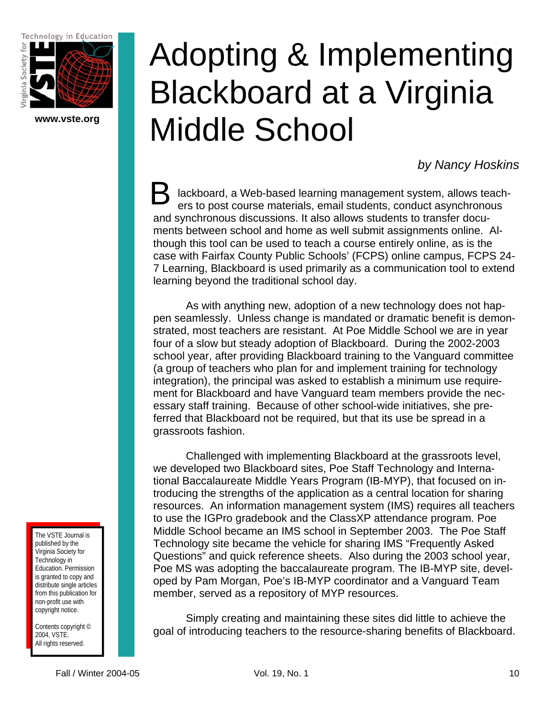Technology in Education



**www.vste.org** 

# Adopting & Implementing Blackboard at a Virginia Middle School

*by Nancy Hoskins* 

lackboard, a Web-based learning management system, allows teachers to post course materials, email students, conduct asynchronous and synchronous discussions. It also allows students to transfer documents between school and home as well submit assignments online. Although this tool can be used to teach a course entirely online, as is the case with Fairfax County Public Schools' (FCPS) online campus, FCPS 24- 7 Learning, Blackboard is used primarily as a communication tool to extend learning beyond the traditional school day. B

As with anything new, adoption of a new technology does not happen seamlessly. Unless change is mandated or dramatic benefit is demonstrated, most teachers are resistant. At Poe Middle School we are in year four of a slow but steady adoption of Blackboard. During the 2002-2003 school year, after providing Blackboard training to the Vanguard committee (a group of teachers who plan for and implement training for technology integration), the principal was asked to establish a minimum use requirement for Blackboard and have Vanguard team members provide the necessary staff training. Because of other school-wide initiatives, she preferred that Blackboard not be required, but that its use be spread in a grassroots fashion.

Challenged with implementing Blackboard at the grassroots level, we developed two Blackboard sites, Poe Staff Technology and International Baccalaureate Middle Years Program (IB-MYP), that focused on introducing the strengths of the application as a central location for sharing resources. An information management system (IMS) requires all teachers to use the IGPro gradebook and the ClassXP attendance program. Poe Middle School became an IMS school in September 2003. The Poe Staff Technology site became the vehicle for sharing IMS "Frequently Asked Questions" and quick reference sheets. Also during the 2003 school year, Poe MS was adopting the baccalaureate program. The IB-MYP site, developed by Pam Morgan, Poe's IB-MYP coordinator and a Vanguard Team member, served as a repository of MYP resources.

Simply creating and maintaining these sites did little to achieve the goal of introducing teachers to the resource-sharing benefits of Blackboard.

The VSTE Journal is published by the Virginia Society for Technology in Education. Permission is granted to copy and distribute single articles from this publication for non-profit use with copyright notice.

Contents copyright © 2004, VSTE. All rights reserved.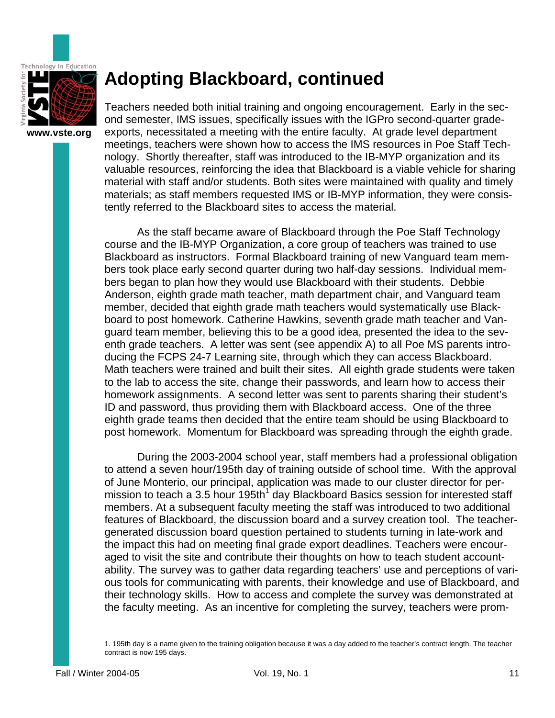

**www.vste.org** 

### **Adopting Blackboard, continued**

Teachers needed both initial training and ongoing encouragement. Early in the second semester, IMS issues, specifically issues with the IGPro second-quarter gradeexports, necessitated a meeting with the entire faculty. At grade level department meetings, teachers were shown how to access the IMS resources in Poe Staff Technology. Shortly thereafter, staff was introduced to the IB-MYP organization and its valuable resources, reinforcing the idea that Blackboard is a viable vehicle for sharing material with staff and/or students. Both sites were maintained with quality and timely materials; as staff members requested IMS or IB-MYP information, they were consistently referred to the Blackboard sites to access the material.

As the staff became aware of Blackboard through the Poe Staff Technology course and the IB-MYP Organization, a core group of teachers was trained to use Blackboard as instructors. Formal Blackboard training of new Vanguard team members took place early second quarter during two half-day sessions. Individual members began to plan how they would use Blackboard with their students. Debbie Anderson, eighth grade math teacher, math department chair, and Vanguard team member, decided that eighth grade math teachers would systematically use Blackboard to post homework. Catherine Hawkins, seventh grade math teacher and Vanguard team member, believing this to be a good idea, presented the idea to the seventh grade teachers. A letter was sent (see appendix A) to all Poe MS parents introducing the FCPS 24-7 Learning site, through which they can access Blackboard. Math teachers were trained and built their sites. All eighth grade students were taken to the lab to access the site, change their passwords, and learn how to access their homework assignments. A second letter was sent to parents sharing their student's ID and password, thus providing them with Blackboard access. One of the three eighth grade teams then decided that the entire team should be using Blackboard to post homework. Momentum for Blackboard was spreading through the eighth grade.

 During the 2003-2004 school year, staff members had a professional obligation to attend a seven hour/195th day of training outside of school time. With the approval of June Monterio, our principal, application was made to our cluster director for permission to teach a 3.5 hour 195th $1$  day Blackboard Basics session for interested staff members. At a subsequent faculty meeting the staff was introduced to two additional features of Blackboard, the discussion board and a survey creation tool. The teachergenerated discussion board question pertained to students turning in late-work and the impact this had on meeting final grade export deadlines. Teachers were encouraged to visit the site and contribute their thoughts on how to teach student accountability. The survey was to gather data regarding teachers' use and perceptions of various tools for communicating with parents, their knowledge and use of Blackboard, and their technology skills. How to access and complete the survey was demonstrated at the faculty meeting. As an incentive for completing the survey, teachers were prom-

1. 195th day is a name given to the training obligation because it was a day added to the teacher's contract length. The teacher contract is now 195 days.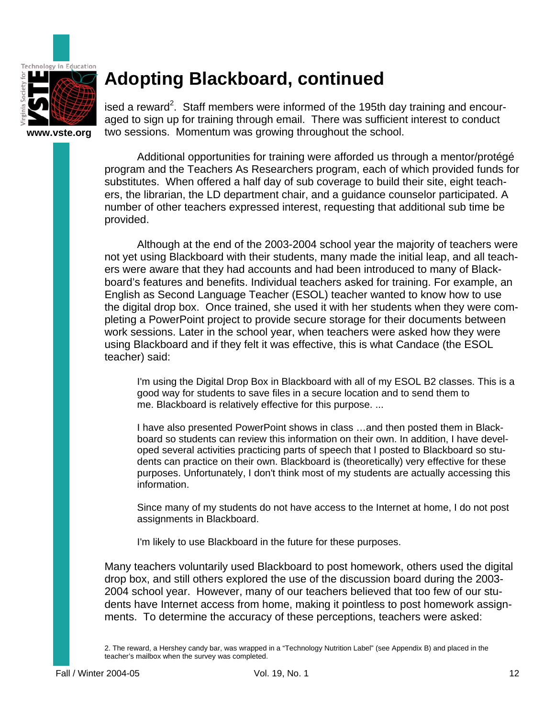

# **Adopting Blackboard, continued**

**www.vste.org** 

ised a reward<sup>2</sup>. Staff members were informed of the 195th day training and encouraged to sign up for training through email. There was sufficient interest to conduct two sessions. Momentum was growing throughout the school.

Additional opportunities for training were afforded us through a mentor/protégé program and the Teachers As Researchers program, each of which provided funds for substitutes. When offered a half day of sub coverage to build their site, eight teachers, the librarian, the LD department chair, and a guidance counselor participated. A number of other teachers expressed interest, requesting that additional sub time be provided.

Although at the end of the 2003-2004 school year the majority of teachers were not yet using Blackboard with their students, many made the initial leap, and all teachers were aware that they had accounts and had been introduced to many of Blackboard's features and benefits. Individual teachers asked for training. For example, an English as Second Language Teacher (ESOL) teacher wanted to know how to use the digital drop box. Once trained, she used it with her students when they were completing a PowerPoint project to provide secure storage for their documents between work sessions. Later in the school year, when teachers were asked how they were using Blackboard and if they felt it was effective, this is what Candace (the ESOL teacher) said:

I'm using the Digital Drop Box in Blackboard with all of my ESOL B2 classes. This is a good way for students to save files in a secure location and to send them to me. Blackboard is relatively effective for this purpose. ...

I have also presented PowerPoint shows in class …and then posted them in Blackboard so students can review this information on their own. In addition, I have developed several activities practicing parts of speech that I posted to Blackboard so students can practice on their own. Blackboard is (theoretically) very effective for these purposes. Unfortunately, I don't think most of my students are actually accessing this information.

Since many of my students do not have access to the Internet at home, I do not post assignments in Blackboard.

I'm likely to use Blackboard in the future for these purposes.

Many teachers voluntarily used Blackboard to post homework, others used the digital drop box, and still others explored the use of the discussion board during the 2003- 2004 school year. However, many of our teachers believed that too few of our students have Internet access from home, making it pointless to post homework assignments. To determine the accuracy of these perceptions, teachers were asked:

2. The reward, a Hershey candy bar, was wrapped in a "Technology Nutrition Label" (see Appendix B) and placed in the teacher's mailbox when the survey was completed.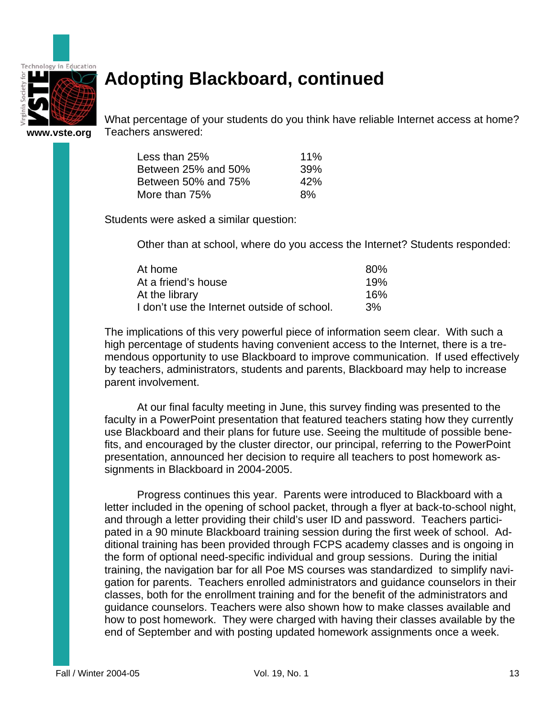

# **Adopting Blackboard, continued**

**www.vste.org** 

What percentage of your students do you think have reliable Internet access at home? Teachers answered:

| Less than $25%$     | 11% |
|---------------------|-----|
| Between 25% and 50% | 39% |
| Between 50% and 75% | 42% |
| More than 75%       | 8%  |

Students were asked a similar question:

Other than at school, where do you access the Internet? Students responded:

| At home                                     | 80% |
|---------------------------------------------|-----|
| At a friend's house                         | 19% |
| At the library                              | 16% |
| I don't use the Internet outside of school. | 3%  |

The implications of this very powerful piece of information seem clear. With such a high percentage of students having convenient access to the Internet, there is a tremendous opportunity to use Blackboard to improve communication. If used effectively by teachers, administrators, students and parents, Blackboard may help to increase parent involvement.

At our final faculty meeting in June, this survey finding was presented to the faculty in a PowerPoint presentation that featured teachers stating how they currently use Blackboard and their plans for future use. Seeing the multitude of possible benefits, and encouraged by the cluster director, our principal, referring to the PowerPoint presentation, announced her decision to require all teachers to post homework assignments in Blackboard in 2004-2005.

Progress continues this year. Parents were introduced to Blackboard with a letter included in the opening of school packet, through a flyer at back-to-school night, and through a letter providing their child's user ID and password. Teachers participated in a 90 minute Blackboard training session during the first week of school. Additional training has been provided through FCPS academy classes and is ongoing in the form of optional need-specific individual and group sessions. During the initial training, the navigation bar for all Poe MS courses was standardized to simplify navigation for parents. Teachers enrolled administrators and guidance counselors in their classes, both for the enrollment training and for the benefit of the administrators and guidance counselors. Teachers were also shown how to make classes available and how to post homework. They were charged with having their classes available by the end of September and with posting updated homework assignments once a week.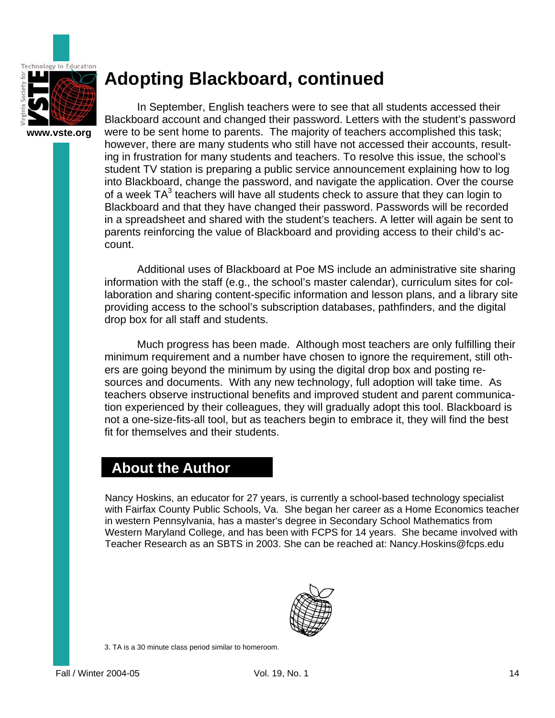

**www.vste.org** 

# **Adopting Blackboard, continued**

In September, English teachers were to see that all students accessed their Blackboard account and changed their password. Letters with the student's password were to be sent home to parents. The majority of teachers accomplished this task; however, there are many students who still have not accessed their accounts, resulting in frustration for many students and teachers. To resolve this issue, the school's student TV station is preparing a public service announcement explaining how to log into Blackboard, change the password, and navigate the application. Over the course of a week  $TA^3$  teachers will have all students check to assure that they can login to Blackboard and that they have changed their password. Passwords will be recorded in a spreadsheet and shared with the student's teachers. A letter will again be sent to parents reinforcing the value of Blackboard and providing access to their child's account.

Additional uses of Blackboard at Poe MS include an administrative site sharing information with the staff (e.g., the school's master calendar), curriculum sites for collaboration and sharing content-specific information and lesson plans, and a library site providing access to the school's subscription databases, pathfinders, and the digital drop box for all staff and students.

Much progress has been made. Although most teachers are only fulfilling their minimum requirement and a number have chosen to ignore the requirement, still others are going beyond the minimum by using the digital drop box and posting resources and documents. With any new technology, full adoption will take time. As teachers observe instructional benefits and improved student and parent communication experienced by their colleagues, they will gradually adopt this tool. Blackboard is not a one-size-fits-all tool, but as teachers begin to embrace it, they will find the best fit for themselves and their students.

### **About the Author**

Nancy Hoskins, an educator for 27 years, is currently a school-based technology specialist with Fairfax County Public Schools, Va. She began her career as a Home Economics teacher in western Pennsylvania, has a master's degree in Secondary School Mathematics from Western Maryland College, and has been with FCPS for 14 years. She became involved with Teacher Research as an SBTS in 2003. She can be reached at: Nancy.Hoskins@fcps.edu



3. TA is a 30 minute class period similar to homeroom.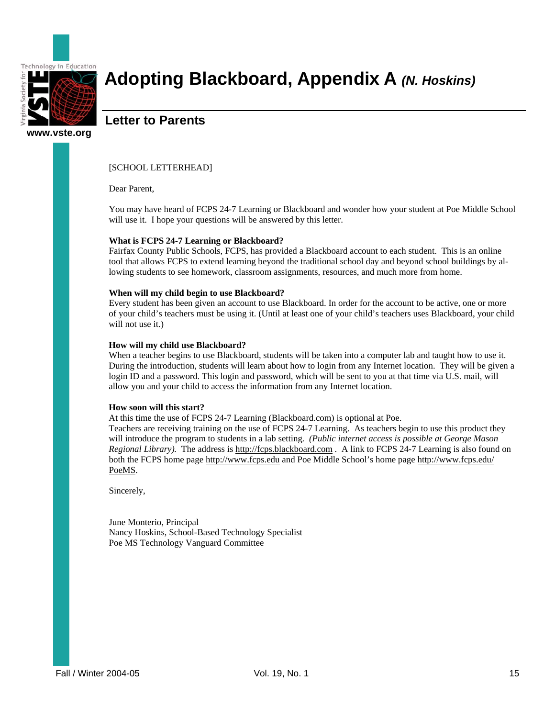

### **Adopting Blackboard, Appendix A** *(N. Hoskins)*

### **Letter to Parents**

#### [SCHOOL LETTERHEAD]

Dear Parent,

You may have heard of FCPS 24-7 Learning or Blackboard and wonder how your student at Poe Middle School will use it. I hope your questions will be answered by this letter.

#### **What is FCPS 24-7 Learning or Blackboard?**

Fairfax County Public Schools, FCPS, has provided a Blackboard account to each student. This is an online tool that allows FCPS to extend learning beyond the traditional school day and beyond school buildings by allowing students to see homework, classroom assignments, resources, and much more from home.

#### **When will my child begin to use Blackboard?**

Every student has been given an account to use Blackboard. In order for the account to be active, one or more of your child's teachers must be using it. (Until at least one of your child's teachers uses Blackboard, your child will not use it.)

#### **How will my child use Blackboard?**

When a teacher begins to use Blackboard, students will be taken into a computer lab and taught how to use it. During the introduction, students will learn about how to login from any Internet location. They will be given a login ID and a password. This login and password, which will be sent to you at that time via U.S. mail, will allow you and your child to access the information from any Internet location.

#### **How soon will this start?**

At this time the use of FCPS 24-7 Learning (Blackboard.com) is optional at Poe.

Teachers are receiving training on the use of FCPS 24-7 Learning. As teachers begin to use this product they will introduce the program to students in a lab setting*. (Public internet access is possible at George Mason Regional Library).* The address is http://fcps.blackboard.com . A link to FCPS 24-7 Learning is also found on both the FCPS home page http://www.fcps.edu and Poe Middle School's home page http://www.fcps.edu/ PoeMS.

Sincerely,

June Monterio, Principal Nancy Hoskins, School-Based Technology Specialist Poe MS Technology Vanguard Committee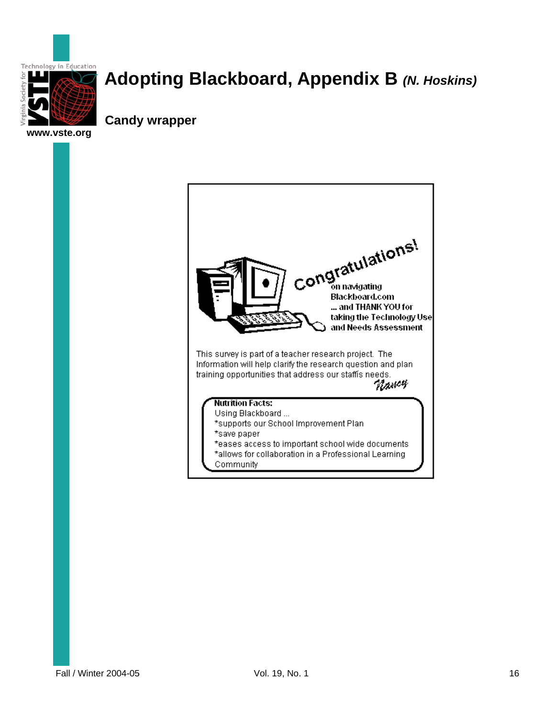

# **Adopting Blackboard, Appendix B** *(N. Hoskins)*

**Candy wrapper** 

**www.vste.org** 

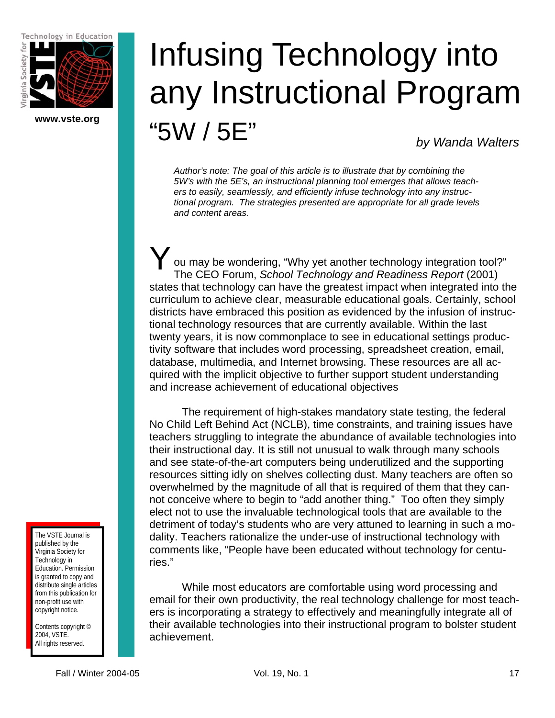Technology in Education



**www.vste.org** 

# Infusing Technology into any Instructional Program

"5W / 5E"

*by Wanda Walters* 

*Author's note: The goal of this article is to illustrate that by combining the 5W's with the 5E's, an instructional planning tool emerges that allows teachers to easily, seamlessly, and efficiently infuse technology into any instructional program. The strategies presented are appropriate for all grade levels and content areas.* 

ou may be wondering, "Why yet another technology integration tool?" The CEO Forum, *School Technology and Readiness Report* (2001) states that technology can have the greatest impact when integrated into the curriculum to achieve clear, measurable educational goals. Certainly, school districts have embraced this position as evidenced by the infusion of instructional technology resources that are currently available. Within the last twenty years, it is now commonplace to see in educational settings productivity software that includes word processing, spreadsheet creation, email, database, multimedia, and Internet browsing. These resources are all acquired with the implicit objective to further support student understanding and increase achievement of educational objectives  $Y_{\tiny \frac{1}{T}}$ 

 The requirement of high-stakes mandatory state testing, the federal No Child Left Behind Act (NCLB), time constraints, and training issues have teachers struggling to integrate the abundance of available technologies into their instructional day. It is still not unusual to walk through many schools and see state-of-the-art computers being underutilized and the supporting resources sitting idly on shelves collecting dust. Many teachers are often so overwhelmed by the magnitude of all that is required of them that they cannot conceive where to begin to "add another thing." Too often they simply elect not to use the invaluable technological tools that are available to the detriment of today's students who are very attuned to learning in such a modality. Teachers rationalize the under-use of instructional technology with comments like, "People have been educated without technology for centuries."

 While most educators are comfortable using word processing and email for their own productivity, the real technology challenge for most teachers is incorporating a strategy to effectively and meaningfully integrate all of their available technologies into their instructional program to bolster student achievement.

The VSTE Journal is published by the Virginia Society for Technology in Education. Permission is granted to copy and distribute single articles from this publication for non-profit use with copyright notice.

Contents copyright © 2004, VSTE. All rights reserved.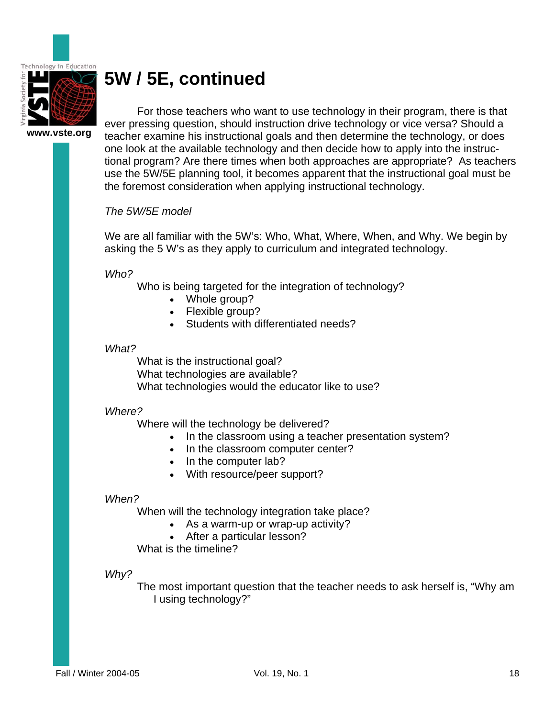

**www.vste.org** 

 For those teachers who want to use technology in their program, there is that ever pressing question, should instruction drive technology or vice versa? Should a teacher examine his instructional goals and then determine the technology, or does one look at the available technology and then decide how to apply into the instructional program? Are there times when both approaches are appropriate? As teachers use the 5W/5E planning tool, it becomes apparent that the instructional goal must be the foremost consideration when applying instructional technology.

#### *The 5W/5E model*

We are all familiar with the 5W's: Who, What, Where, When, and Why. We begin by asking the 5 W's as they apply to curriculum and integrated technology.

*Who?* 

Who is being targeted for the integration of technology?

- Whole group?
	- Flexible group?
	- Students with differentiated needs?

#### *What?*

What is the instructional goal? What technologies are available? What technologies would the educator like to use?

#### *Where?*

Where will the technology be delivered?

- In the classroom using a teacher presentation system?
- In the classroom computer center?
- In the computer lab?
- With resource/peer support?

#### *When?*

When will the technology integration take place?

- As a warm-up or wrap-up activity?
- After a particular lesson?

What is the timeline?

#### *Why?*

The most important question that the teacher needs to ask herself is, "Why am I using technology?"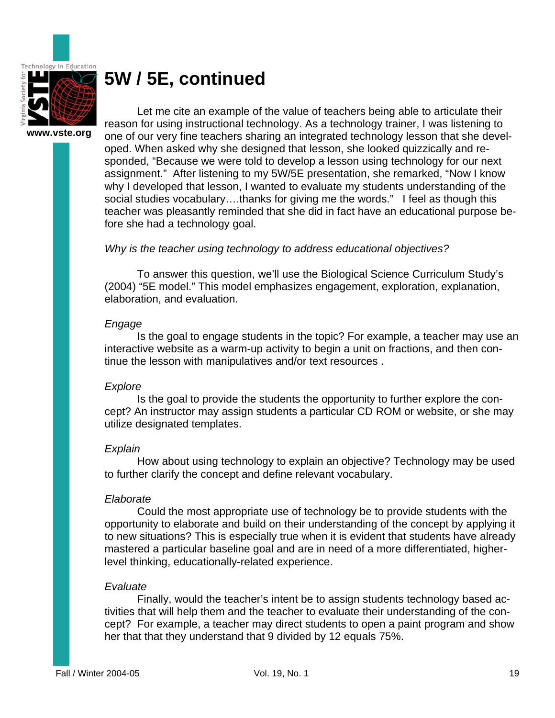

**www.vste.org** 

 Let me cite an example of the value of teachers being able to articulate their reason for using instructional technology. As a technology trainer, I was listening to one of our very fine teachers sharing an integrated technology lesson that she developed. When asked why she designed that lesson, she looked quizzically and responded, "Because we were told to develop a lesson using technology for our next assignment." After listening to my 5W/5E presentation, she remarked, "Now I know why I developed that lesson, I wanted to evaluate my students understanding of the social studies vocabulary….thanks for giving me the words." I feel as though this teacher was pleasantly reminded that she did in fact have an educational purpose before she had a technology goal.

#### *Why is the teacher using technology to address educational objectives?*

 To answer this question, we'll use the Biological Science Curriculum Study's (2004) "5E model." This model emphasizes engagement, exploration, explanation, elaboration, and evaluation.

#### *Engage*

 Is the goal to engage students in the topic? For example, a teacher may use an interactive website as a warm-up activity to begin a unit on fractions, and then continue the lesson with manipulatives and/or text resources .

#### *Explore*

 Is the goal to provide the students the opportunity to further explore the concept? An instructor may assign students a particular CD ROM or website, or she may utilize designated templates.

#### *Explain*

 How about using technology to explain an objective? Technology may be used to further clarify the concept and define relevant vocabulary.

#### *Elaborate*

 Could the most appropriate use of technology be to provide students with the opportunity to elaborate and build on their understanding of the concept by applying it to new situations? This is especially true when it is evident that students have already mastered a particular baseline goal and are in need of a more differentiated, higherlevel thinking, educationally-related experience.

#### *Evaluate*

 Finally, would the teacher's intent be to assign students technology based activities that will help them and the teacher to evaluate their understanding of the concept? For example, a teacher may direct students to open a paint program and show her that that they understand that 9 divided by 12 equals 75%.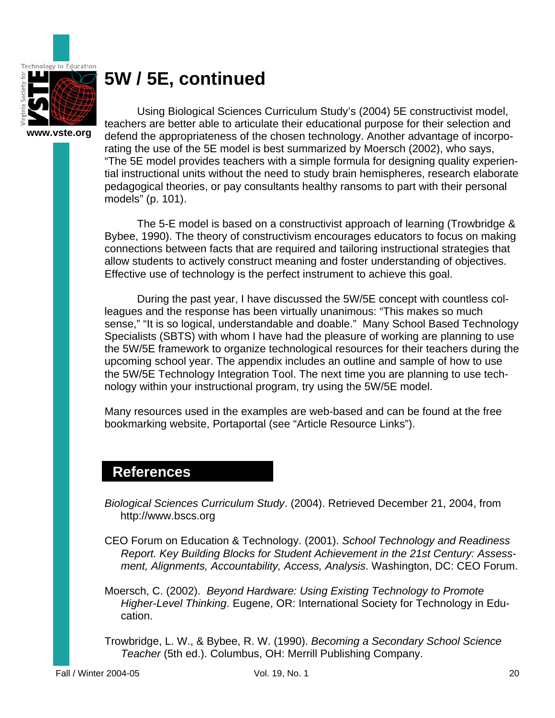

 Using Biological Sciences Curriculum Study's (2004) 5E constructivist model, teachers are better able to articulate their educational purpose for their selection and defend the appropriateness of the chosen technology. Another advantage of incorporating the use of the 5E model is best summarized by Moersch (2002), who says, "The 5E model provides teachers with a simple formula for designing quality experiential instructional units without the need to study brain hemispheres, research elaborate pedagogical theories, or pay consultants healthy ransoms to part with their personal models" (p. 101).

 The 5-E model is based on a constructivist approach of learning (Trowbridge & Bybee, 1990). The theory of constructivism encourages educators to focus on making connections between facts that are required and tailoring instructional strategies that allow students to actively construct meaning and foster understanding of objectives. Effective use of technology is the perfect instrument to achieve this goal.

 During the past year, I have discussed the 5W/5E concept with countless colleagues and the response has been virtually unanimous: "This makes so much sense," "It is so logical, understandable and doable." Many School Based Technology Specialists (SBTS) with whom I have had the pleasure of working are planning to use the 5W/5E framework to organize technological resources for their teachers during the upcoming school year. The appendix includes an outline and sample of how to use the 5W/5E Technology Integration Tool. The next time you are planning to use technology within your instructional program, try using the 5W/5E model.

Many resources used in the examples are web-based and can be found at the free bookmarking website, Portaportal (see "Article Resource Links").

### **References**

*Biological Sciences Curriculum Study*. (2004). Retrieved December 21, 2004, from http://www.bscs.org

- CEO Forum on Education & Technology. (2001). *School Technology and Readiness Report. Key Building Blocks for Student Achievement in the 21st Century: Assessment, Alignments, Accountability, Access, Analysis*. Washington, DC: CEO Forum.
- Moersch, C. (2002). *Beyond Hardware: Using Existing Technology to Promote Higher-Level Thinking*. Eugene, OR: International Society for Technology in Education.
- Trowbridge, L. W., & Bybee, R. W. (1990). *Becoming a Secondary School Science Teacher* (5th ed.). Columbus, OH: Merrill Publishing Company.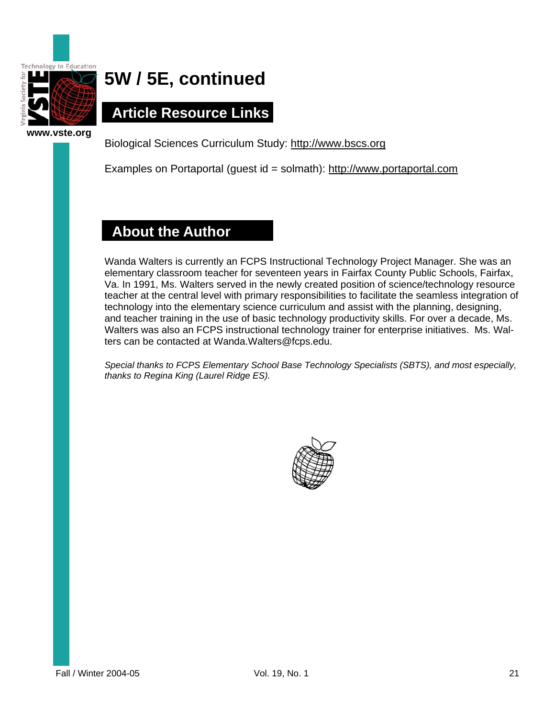

 **Article Resource Links** 

Biological Sciences Curriculum Study:<http://www.bscs.org>

Examples on Portaportal (guest id = solmath):<http://www.portaportal.com>

### **About the Author**

Wanda Walters is currently an FCPS Instructional Technology Project Manager. She was an elementary classroom teacher for seventeen years in Fairfax County Public Schools, Fairfax, Va. In 1991, Ms. Walters served in the newly created position of science/technology resource teacher at the central level with primary responsibilities to facilitate the seamless integration of technology into the elementary science curriculum and assist with the planning, designing, and teacher training in the use of basic technology productivity skills. For over a decade, Ms. Walters was also an FCPS instructional technology trainer for enterprise initiatives. Ms. Walters can be contacted at Wanda.Walters@fcps.edu.

*Special thanks to FCPS Elementary School Base Technology Specialists (SBTS), and most especially, thanks to Regina King (Laurel Ridge ES).* 

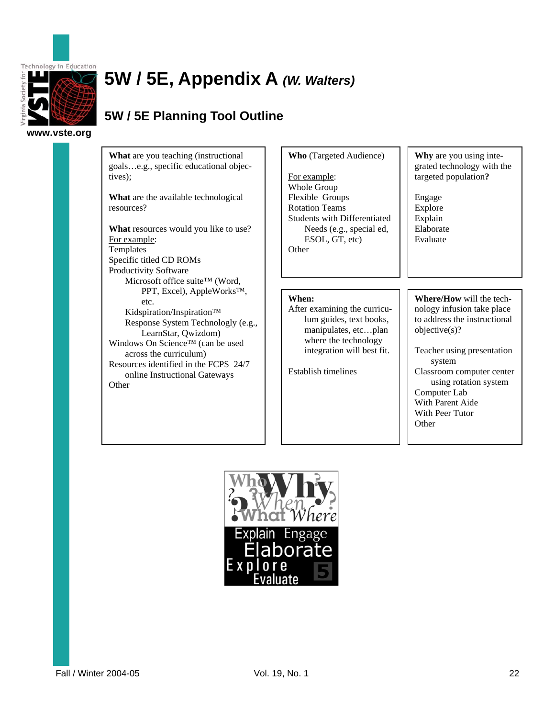

### **5W / 5E, Appendix A** *(W. Walters)*

### **5W / 5E Planning Tool Outline**

**www.vste.org** 

**What** are you teaching (instructional goals…e.g., specific educational objectives);

**What** are the available technological resources?

**What** resources would you like to use? For example: Templates Specific titled CD ROMs Productivity Software Microsoft office suite™ (Word, PPT, Excel), AppleWorks™, etc. Kidspiration/Inspiration™ Response System Technologly (e.g., LearnStar, Qwizdom) Windows On Science™ (can be used across the curriculum) Resources identified in the FCPS 24/7 online Instructional Gateways **Other** 

**Who** (Targeted Audience)

For example: Whole Group Flexible Groups Rotation Teams Students with Differentiated Needs (e.g., special ed, ESOL, GT, etc) **Other** 

#### **When:**

After examining the curriculum guides, text books, manipulates, etc…plan where the technology integration will best fit.

Establish timelines

**Why** are you using integrated technology with the targeted population**?**

Engage Explore Explain Elaborate Evaluate

**Where/How** will the technology infusion take place to address the instructional objective(s)?

Teacher using presentation system Classroom computer center using rotation system Computer Lab With Parent Aide With Peer Tutor **Other** 

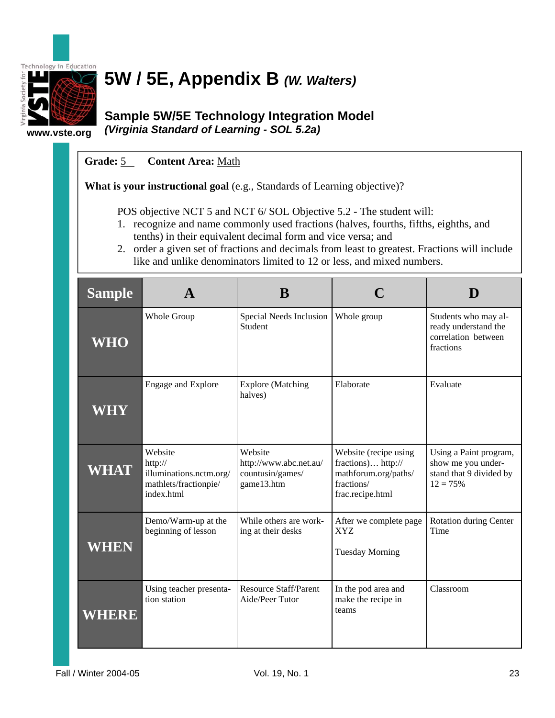

# **5W / 5E, Appendix B** *(W. Walters)*

**www.vste.org** 

### **Sample 5W/5E Technology Integration Model**  *(Virginia Standard of Learning - SOL 5.2a)*

### **Grade:** 5 **Content Area:** Math

**What is your instructional goal** (e.g., Standards of Learning objective)?

POS objective NCT 5 and NCT 6/ SOL Objective 5.2 - The student will:

- 1. recognize and name commonly used fractions (halves, fourths, fifths, eighths, and tenths) in their equivalent decimal form and vice versa; and
- 2. order a given set of fractions and decimals from least to greatest. Fractions will include like and unlike denominators limited to 12 or less, and mixed numbers.

| <b>Sample</b> |                                                                                      | B                                                                   |                                                                                                       |                                                                                       |
|---------------|--------------------------------------------------------------------------------------|---------------------------------------------------------------------|-------------------------------------------------------------------------------------------------------|---------------------------------------------------------------------------------------|
| <b>WHO</b>    | Whole Group                                                                          | Special Needs Inclusion<br>Student                                  | Whole group                                                                                           | Students who may al-<br>ready understand the<br>correlation between<br>fractions      |
| WHY           | Engage and Explore                                                                   | <b>Explore</b> (Matching<br>halves)                                 | Elaborate                                                                                             | Evaluate                                                                              |
| <b>WHAT</b>   | Website<br>http://<br>illuminations.nctm.org/<br>mathlets/fractionpie/<br>index.html | Website<br>http://www.abc.net.au/<br>countusin/games/<br>game13.htm | Website (recipe using<br>fractions) http://<br>mathforum.org/paths/<br>fractions/<br>frac.recipe.html | Using a Paint program,<br>show me you under-<br>stand that 9 divided by<br>$12 = 75%$ |
| WHEN          | Demo/Warm-up at the<br>beginning of lesson                                           | While others are work-<br>ing at their desks                        | After we complete page<br><b>XYZ</b><br><b>Tuesday Morning</b>                                        | <b>Rotation during Center</b><br>Time                                                 |
| WHERE         | Using teacher presenta-<br>tion station                                              | <b>Resource Staff/Parent</b><br>Aide/Peer Tutor                     | In the pod area and<br>make the recipe in<br>teams                                                    | Classroom                                                                             |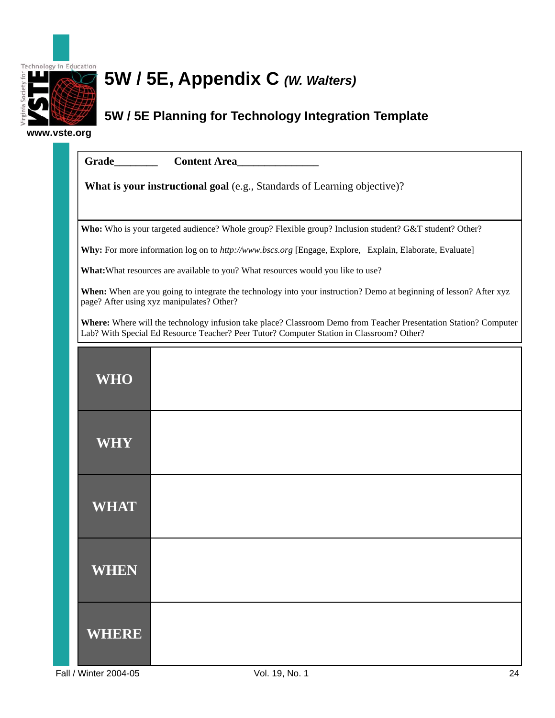

# **5W / 5E, Appendix C** *(W. Walters)*

### **5W / 5E Planning for Technology Integration Template**

**www.vste.org** 

|              | Content Area                                                                                                                                                                                                 |  |  |  |  |  |
|--------------|--------------------------------------------------------------------------------------------------------------------------------------------------------------------------------------------------------------|--|--|--|--|--|
|              | What is your instructional goal (e.g., Standards of Learning objective)?                                                                                                                                     |  |  |  |  |  |
|              |                                                                                                                                                                                                              |  |  |  |  |  |
|              | Who: Who is your targeted audience? Whole group? Flexible group? Inclusion student? G&T student? Other?                                                                                                      |  |  |  |  |  |
|              | Why: For more information log on to http://www.bscs.org [Engage, Explore, Explain, Elaborate, Evaluate]                                                                                                      |  |  |  |  |  |
|              | What: What resources are available to you? What resources would you like to use?                                                                                                                             |  |  |  |  |  |
|              | When: When are you going to integrate the technology into your instruction? Demo at beginning of lesson? After xyz<br>page? After using xyz manipulates? Other?                                              |  |  |  |  |  |
|              | Where: Where will the technology infusion take place? Classroom Demo from Teacher Presentation Station? Computer<br>Lab? With Special Ed Resource Teacher? Peer Tutor? Computer Station in Classroom? Other? |  |  |  |  |  |
| <b>WHO</b>   |                                                                                                                                                                                                              |  |  |  |  |  |
| WHY          |                                                                                                                                                                                                              |  |  |  |  |  |
| WHAT         |                                                                                                                                                                                                              |  |  |  |  |  |
| WHEN         |                                                                                                                                                                                                              |  |  |  |  |  |
| <b>WHERE</b> |                                                                                                                                                                                                              |  |  |  |  |  |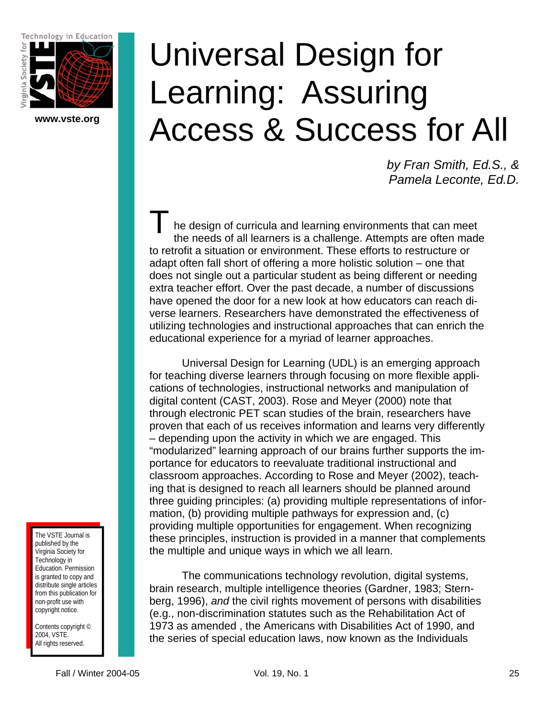Technology in Education



**www.vste.org** 

# Universal Design for Learning: Assuring Access & Success for All

*by Fran Smith, Ed.S., & Pamela Leconte, Ed.D.* 

he design of curricula and learning environments that can meet the needs of all learners is a challenge. Attempts are often made to retrofit a situation or environment. These efforts to restructure or adapt often fall short of offering a more holistic solution – one that does not single out a particular student as being different or needing extra teacher effort. Over the past decade, a number of discussions have opened the door for a new look at how educators can reach diverse learners. Researchers have demonstrated the effectiveness of utilizing technologies and instructional approaches that can enrich the educational experience for a myriad of learner approaches.  $\overline{\mathsf{T}}_{\frac{\mathsf{h}}{\mathsf{d}} }$ 

Universal Design for Learning (UDL) is an emerging approach for teaching diverse learners through focusing on more flexible applications of technologies, instructional networks and manipulation of digital content (CAST, 2003). Rose and Meyer (2000) note that through electronic PET scan studies of the brain, researchers have proven that each of us receives information and learns very differently – depending upon the activity in which we are engaged. This "modularized" learning approach of our brains further supports the importance for educators to reevaluate traditional instructional and classroom approaches. According to Rose and Meyer (2002), teaching that is designed to reach all learners should be planned around three guiding principles: (a) providing multiple representations of information, (b) providing multiple pathways for expression and, (c) providing multiple opportunities for engagement. When recognizing these principles, instruction is provided in a manner that complements the multiple and unique ways in which we all learn.

The communications technology revolution, digital systems, brain research, multiple intelligence theories (Gardner, 1983; Sternberg, 1996), *and* the civil rights movement of persons with disabilities (e.g., non-discrimination statutes such as the Rehabilitation Act of 1973 as amended , the Americans with Disabilities Act of 1990, and the series of special education laws, now known as the Individuals

The VSTE Journal is published by the Virginia Society for Technology in Education. Permission is granted to copy and distribute single articles from this publication for non-profit use with copyright notice.

Contents copyright © 2004, VSTE. All rights reserved.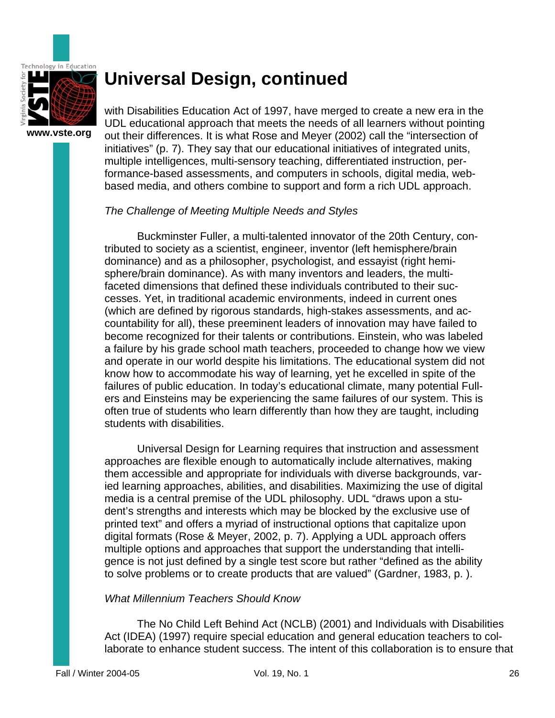

with Disabilities Education Act of 1997, have merged to create a new era in the UDL educational approach that meets the needs of all learners without pointing out their differences. It is what Rose and Meyer (2002) call the "intersection of initiatives" (p. 7). They say that our educational initiatives of integrated units, multiple intelligences, multi-sensory teaching, differentiated instruction, performance-based assessments, and computers in schools, digital media, webbased media, and others combine to support and form a rich UDL approach.

#### *The Challenge of Meeting Multiple Needs and Styles*

Buckminster Fuller, a multi-talented innovator of the 20th Century, contributed to society as a scientist, engineer, inventor (left hemisphere/brain dominance) and as a philosopher, psychologist, and essayist (right hemisphere/brain dominance). As with many inventors and leaders, the multifaceted dimensions that defined these individuals contributed to their successes. Yet, in traditional academic environments, indeed in current ones (which are defined by rigorous standards, high-stakes assessments, and accountability for all), these preeminent leaders of innovation may have failed to become recognized for their talents or contributions. Einstein, who was labeled a failure by his grade school math teachers, proceeded to change how we view and operate in our world despite his limitations. The educational system did not know how to accommodate his way of learning, yet he excelled in spite of the failures of public education. In today's educational climate, many potential Fullers and Einsteins may be experiencing the same failures of our system. This is often true of students who learn differently than how they are taught, including students with disabilities.

Universal Design for Learning requires that instruction and assessment approaches are flexible enough to automatically include alternatives, making them accessible and appropriate for individuals with diverse backgrounds, varied learning approaches, abilities, and disabilities. Maximizing the use of digital media is a central premise of the UDL philosophy. UDL "draws upon a student's strengths and interests which may be blocked by the exclusive use of printed text" and offers a myriad of instructional options that capitalize upon digital formats (Rose & Meyer, 2002, p. 7). Applying a UDL approach offers multiple options and approaches that support the understanding that intelligence is not just defined by a single test score but rather "defined as the ability to solve problems or to create products that are valued" (Gardner, 1983, p. ).

#### *What Millennium Teachers Should Know*

The No Child Left Behind Act (NCLB) (2001) and Individuals with Disabilities Act (IDEA) (1997) require special education and general education teachers to collaborate to enhance student success. The intent of this collaboration is to ensure that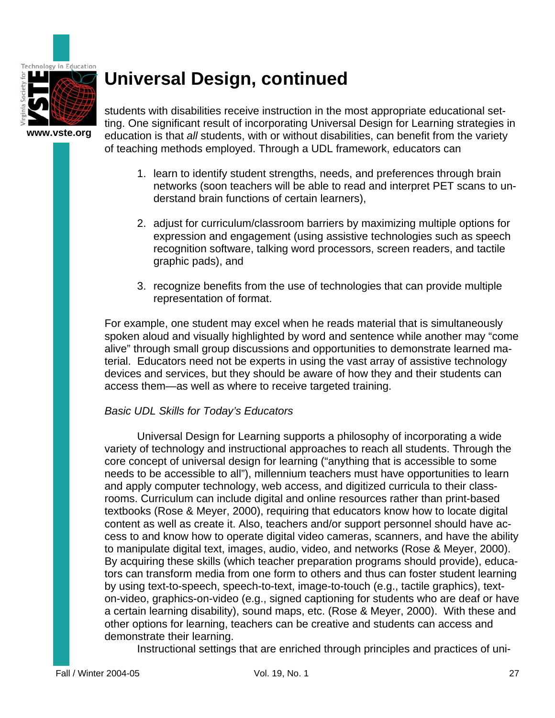

students with disabilities receive instruction in the most appropriate educational setting. One significant result of incorporating Universal Design for Learning strategies in education is that *all* students, with or without disabilities, can benefit from the variety of teaching methods employed. Through a UDL framework, educators can

- 1. learn to identify student strengths, needs, and preferences through brain networks (soon teachers will be able to read and interpret PET scans to understand brain functions of certain learners),
- 2. adjust for curriculum/classroom barriers by maximizing multiple options for expression and engagement (using assistive technologies such as speech recognition software, talking word processors, screen readers, and tactile graphic pads), and
- 3. recognize benefits from the use of technologies that can provide multiple representation of format.

For example, one student may excel when he reads material that is simultaneously spoken aloud and visually highlighted by word and sentence while another may "come alive" through small group discussions and opportunities to demonstrate learned material. Educators need not be experts in using the vast array of assistive technology devices and services, but they should be aware of how they and their students can access them—as well as where to receive targeted training.

### *Basic UDL Skills for Today's Educators*

Universal Design for Learning supports a philosophy of incorporating a wide variety of technology and instructional approaches to reach all students. Through the core concept of universal design for learning ("anything that is accessible to some needs to be accessible to all"), millennium teachers must have opportunities to learn and apply computer technology, web access, and digitized curricula to their classrooms. Curriculum can include digital and online resources rather than print-based textbooks (Rose & Meyer, 2000), requiring that educators know how to locate digital content as well as create it. Also, teachers and/or support personnel should have access to and know how to operate digital video cameras, scanners, and have the ability to manipulate digital text, images, audio, video, and networks (Rose & Meyer, 2000). By acquiring these skills (which teacher preparation programs should provide), educators can transform media from one form to others and thus can foster student learning by using text-to-speech, speech-to-text, image-to-touch (e.g., tactile graphics), texton-video, graphics-on-video (e.g., signed captioning for students who are deaf or have a certain learning disability), sound maps, etc. (Rose & Meyer, 2000). With these and other options for learning, teachers can be creative and students can access and demonstrate their learning.

Instructional settings that are enriched through principles and practices of uni-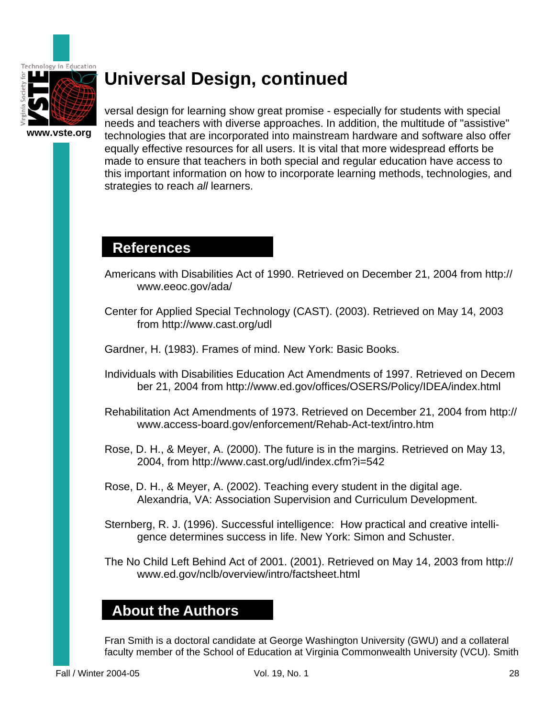

versal design for learning show great promise - especially for students with special needs and teachers with diverse approaches. In addition, the multitude of "assistive" technologies that are incorporated into mainstream hardware and software also offer equally effective resources for all users. It is vital that more widespread efforts be made to ensure that teachers in both special and regular education have access to this important information on how to incorporate learning methods, technologies, and strategies to reach *all* learners.

### **References**

- Americans with Disabilities Act of 1990. Retrieved on December 21, 2004 from http:// www.eeoc.gov/ada/
- Center for Applied Special Technology (CAST). (2003). Retrieved on May 14, 2003 from http://www.cast.org/udl
- Gardner, H. (1983). Frames of mind. New York: Basic Books.
- Individuals with Disabilities Education Act Amendments of 1997. Retrieved on Decem ber 21, 2004 from http://www.ed.gov/offices/OSERS/Policy/IDEA/index.html
- Rehabilitation Act Amendments of 1973. Retrieved on December 21, 2004 from http:// www.access-board.gov/enforcement/Rehab-Act-text/intro.htm
- Rose, D. H., & Meyer, A. (2000). The future is in the margins. Retrieved on May 13, 2004, from http://www.cast.org/udl/index.cfm?i=542
- Rose, D. H., & Meyer, A. (2002). Teaching every student in the digital age. Alexandria, VA: Association Supervision and Curriculum Development.
- Sternberg, R. J. (1996). Successful intelligence: How practical and creative intelli gence determines success in life. New York: Simon and Schuster.
- The No Child Left Behind Act of 2001. (2001). Retrieved on May 14, 2003 from http:// www.ed.gov/nclb/overview/intro/factsheet.html

### **About the Authors**

Fran Smith is a doctoral candidate at George Washington University (GWU) and a collateral faculty member of the School of Education at Virginia Commonwealth University (VCU). Smith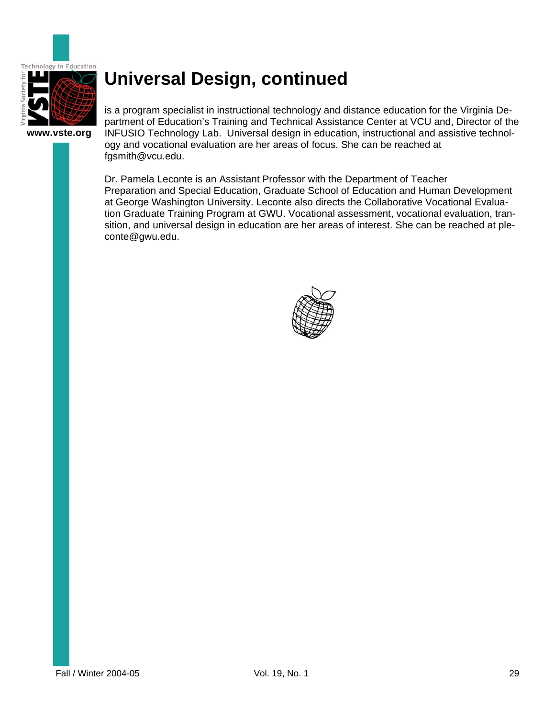

**www.vste.org** 

is a program specialist in instructional technology and distance education for the Virginia Department of Education's Training and Technical Assistance Center at VCU and, Director of the INFUSIO Technology Lab. Universal design in education, instructional and assistive technology and vocational evaluation are her areas of focus. She can be reached at fgsmith@vcu.edu.

Dr. Pamela Leconte is an Assistant Professor with the Department of Teacher Preparation and Special Education, Graduate School of Education and Human Development at George Washington University. Leconte also directs the Collaborative Vocational Evaluation Graduate Training Program at GWU. Vocational assessment, vocational evaluation, transition, and universal design in education are her areas of interest. She can be reached at pleconte@gwu.edu.